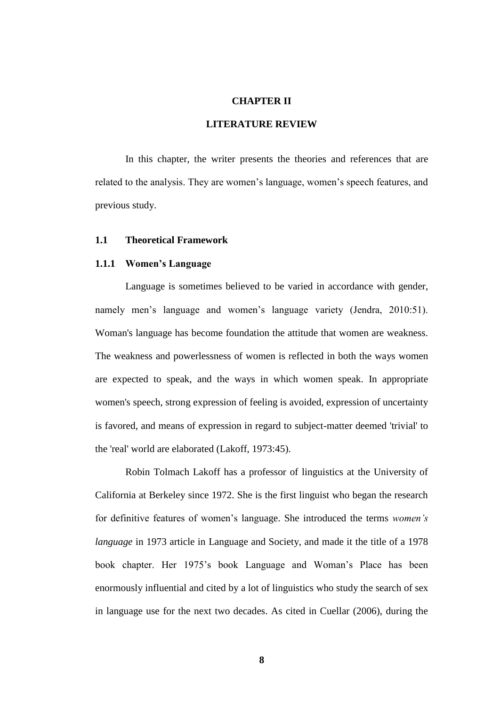## **CHAPTER II**

## **LITERATURE REVIEW**

In this chapter, the writer presents the theories and references that are related to the analysis. They are women's language, women's speech features, and previous study.

## **1.1 Theoretical Framework**

#### **1.1.1 Women's Language**

Language is sometimes believed to be varied in accordance with gender, namely men's language and women's language variety (Jendra, 2010:51). Woman's language has become foundation the attitude that women are weakness. The weakness and powerlessness of women is reflected in both the ways women are expected to speak, and the ways in which women speak. In appropriate women's speech, strong expression of feeling is avoided, expression of uncertainty is favored, and means of expression in regard to subject-matter deemed 'trivial' to the 'real' world are elaborated (Lakoff, 1973:45).

Robin Tolmach Lakoff has a professor of linguistics at the University of California at Berkeley since 1972. She is the first linguist who began the research for definitive features of women's language. She introduced the terms *women"s language* in 1973 article in Language and Society, and made it the title of a 1978 book chapter. Her 1975's book Language and Woman's Place has been enormously influential and cited by a lot of linguistics who study the search of sex in language use for the next two decades. As cited in Cuellar (2006), during the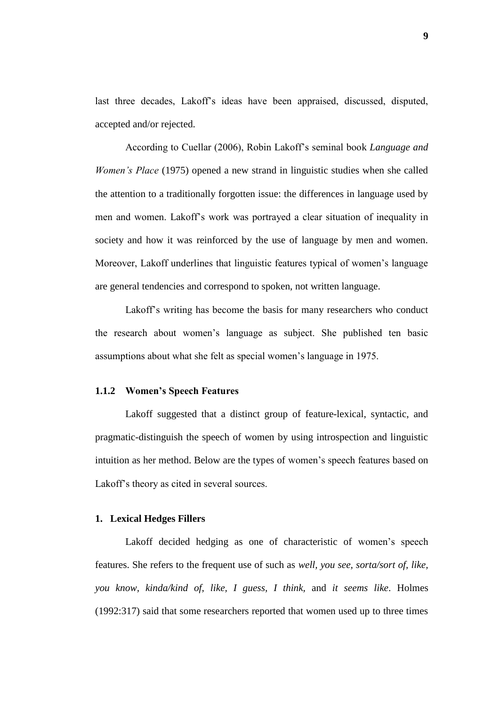last three decades, Lakoff's ideas have been appraised, discussed, disputed, accepted and/or rejected.

According to Cuellar (2006), Robin Lakoff's seminal book *Language and Women's Place* (1975) opened a new strand in linguistic studies when she called the attention to a traditionally forgotten issue: the differences in language used by men and women. Lakoff's work was portrayed a clear situation of inequality in society and how it was reinforced by the use of language by men and women. Moreover, Lakoff underlines that linguistic features typical of women's language are general tendencies and correspond to spoken, not written language.

Lakoff's writing has become the basis for many researchers who conduct the research about women's language as subject. She published ten basic assumptions about what she felt as special women's language in 1975.

#### **1.1.2 Women's Speech Features**

Lakoff suggested that a distinct group of feature-lexical, syntactic, and pragmatic-distinguish the speech of women by using introspection and linguistic intuition as her method. Below are the types of women's speech features based on Lakoff's theory as cited in several sources.

#### **1. Lexical Hedges Fillers**

Lakoff decided hedging as one of characteristic of women's speech features. She refers to the frequent use of such as *well, you see, sorta/sort of, like, you know, kinda/kind of, like, I guess, I think,* and *it seems like*. Holmes (1992:317) said that some researchers reported that women used up to three times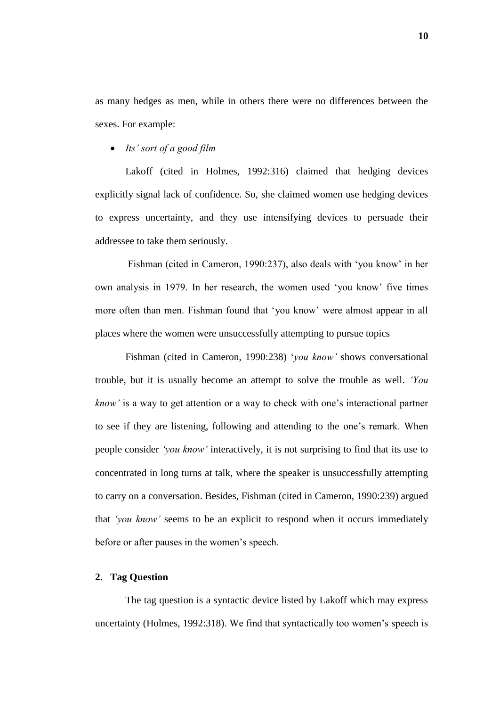as many hedges as men, while in others there were no differences between the sexes. For example:

*Its" sort of a good film*

Lakoff (cited in Holmes, 1992:316) claimed that hedging devices explicitly signal lack of confidence. So, she claimed women use hedging devices to express uncertainty, and they use intensifying devices to persuade their addressee to take them seriously.

Fishman (cited in Cameron, 1990:237), also deals with 'you know' in her own analysis in 1979. In her research, the women used 'you know' five times more often than men. Fishman found that 'you know' were almost appear in all places where the women were unsuccessfully attempting to pursue topics

Fishman (cited in Cameron, 1990:238) '*you know"* shows conversational trouble, but it is usually become an attempt to solve the trouble as well. *"You know"* is a way to get attention or a way to check with one's interactional partner to see if they are listening, following and attending to the one's remark. When people consider *"you know"* interactively, it is not surprising to find that its use to concentrated in long turns at talk, where the speaker is unsuccessfully attempting to carry on a conversation. Besides, Fishman (cited in Cameron, 1990:239) argued that *"you know"* seems to be an explicit to respond when it occurs immediately before or after pauses in the women's speech.

## **2. Tag Question**

The tag question is a syntactic device listed by Lakoff which may express uncertainty (Holmes, 1992:318). We find that syntactically too women's speech is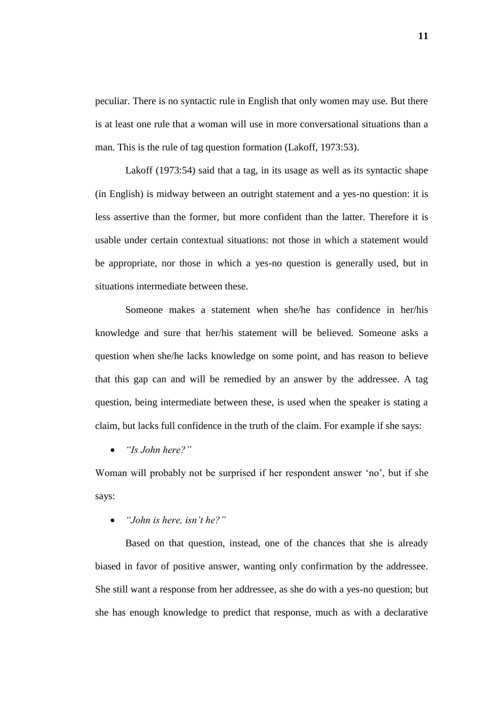peculiar. There is no syntactic rule in English that only women may use. But there is at least one rule that a woman will use in more conversational situations than a man. This is the rule of tag question formation (Lakoff, 1973:53).

Lakoff (1973:54) said that a tag, in its usage as well as its syntactic shape (in English) is midway between an outright statement and a yes-no question: it is less assertive than the former, but more confident than the latter. Therefore it is usable under certain contextual situations: not those in which a statement would be appropriate, nor those in which a yes-no question is generally used, but in situations intermediate between these.

Someone makes a statement when she/he has confidence in her/his knowledge and sure that her/his statement will be believed. Someone asks a question when she/he lacks knowledge on some point, and has reason to believe that this gap can and will be remedied by an answer by the addressee. A tag question, being intermediate between these, is used when the speaker is stating a claim, but lacks full confidence in the truth of the claim. For example if she says:

*"Is John here?"*

Woman will probably not be surprised if her respondent answer 'no', but if she says:

# *"John is here, isn"t he?"*

Based on that question, instead, one of the chances that she is already biased in favor of positive answer, wanting only confirmation by the addressee. She still want a response from her addressee, as she do with a yes-no question; but she has enough knowledge to predict that response, much as with a declarative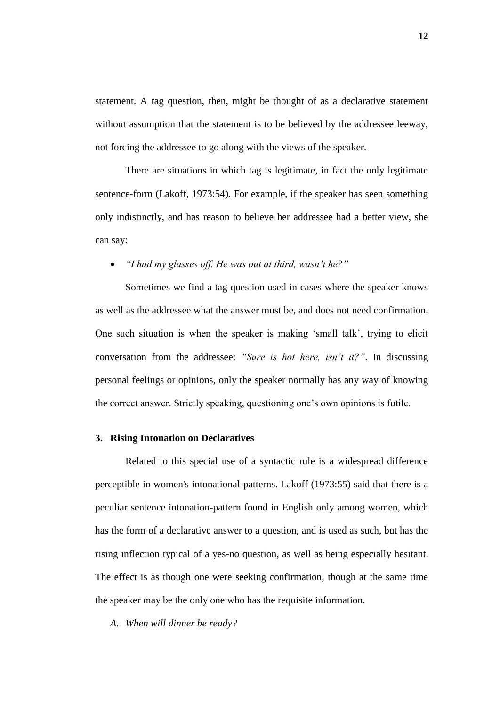statement. A tag question, then, might be thought of as a declarative statement without assumption that the statement is to be believed by the addressee leeway, not forcing the addressee to go along with the views of the speaker.

There are situations in which tag is legitimate, in fact the only legitimate sentence-form (Lakoff, 1973:54). For example, if the speaker has seen something only indistinctly, and has reason to believe her addressee had a better view, she can say:

*"I had my glasses off. He was out at third, wasn"t he?"*

Sometimes we find a tag question used in cases where the speaker knows as well as the addressee what the answer must be, and does not need confirmation. One such situation is when the speaker is making 'small talk', trying to elicit conversation from the addressee: *"Sure is hot here, isn"t it?"*. In discussing personal feelings or opinions, only the speaker normally has any way of knowing the correct answer. Strictly speaking, questioning one's own opinions is futile.

### **3. Rising Intonation on Declaratives**

Related to this special use of a syntactic rule is a widespread difference perceptible in women's intonational-patterns. Lakoff (1973:55) said that there is a peculiar sentence intonation-pattern found in English only among women, which has the form of a declarative answer to a question, and is used as such, but has the rising inflection typical of a yes-no question, as well as being especially hesitant. The effect is as though one were seeking confirmation, though at the same time the speaker may be the only one who has the requisite information.

*A. When will dinner be ready?*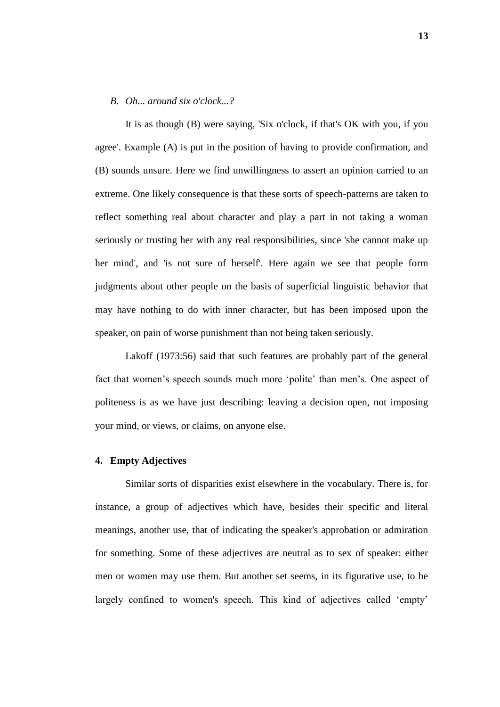#### *B. Oh... around six o'clock...?*

It is as though (B) were saying, 'Six o'clock, if that's OK with you, if you agree'. Example (A) is put in the position of having to provide confirmation, and (B) sounds unsure. Here we find unwillingness to assert an opinion carried to an extreme. One likely consequence is that these sorts of speech-patterns are taken to reflect something real about character and play a part in not taking a woman seriously or trusting her with any real responsibilities, since 'she cannot make up her mind', and 'is not sure of herself'. Here again we see that people form judgments about other people on the basis of superficial linguistic behavior that may have nothing to do with inner character, but has been imposed upon the speaker, on pain of worse punishment than not being taken seriously.

Lakoff (1973:56) said that such features are probably part of the general fact that women's speech sounds much more 'polite' than men's. One aspect of politeness is as we have just describing: leaving a decision open, not imposing your mind, or views, or claims, on anyone else.

#### **4. Empty Adjectives**

Similar sorts of disparities exist elsewhere in the vocabulary. There is, for instance, a group of adjectives which have, besides their specific and literal meanings, another use, that of indicating the speaker's approbation or admiration for something. Some of these adjectives are neutral as to sex of speaker: either men or women may use them. But another set seems, in its figurative use, to be largely confined to women's speech. This kind of adjectives called 'empty'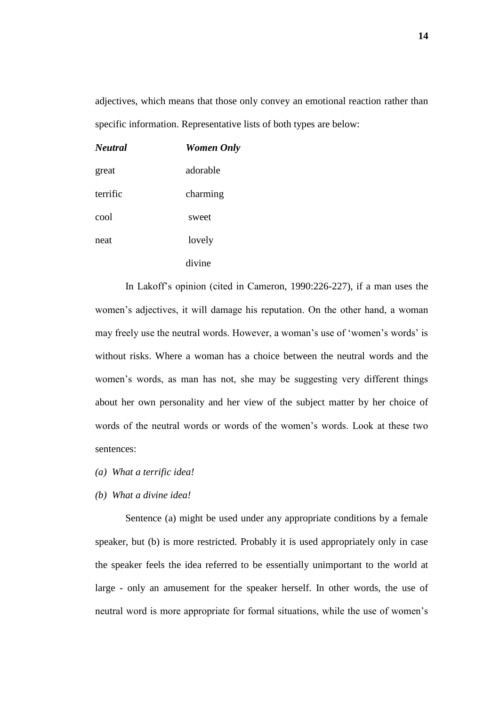adjectives, which means that those only convey an emotional reaction rather than specific information. Representative lists of both types are below:

| Neutral  | <b>Women Only</b> |
|----------|-------------------|
| great    | adorable          |
| terrific | charming          |
| cool     | sweet             |
| neat     | lovely            |
|          | divine            |

In Lakoff's opinion (cited in Cameron, 1990:226-227), if a man uses the women's adjectives, it will damage his reputation. On the other hand, a woman may freely use the neutral words. However, a woman's use of 'women's words' is without risks. Where a woman has a choice between the neutral words and the women's words, as man has not, she may be suggesting very different things about her own personality and her view of the subject matter by her choice of words of the neutral words or words of the women's words. Look at these two sentences:

- *(a) What a terrific idea!*
- *(b) What a divine idea!*

Sentence (a) might be used under any appropriate conditions by a female speaker, but (b) is more restricted. Probably it is used appropriately only in case the speaker feels the idea referred to be essentially unimportant to the world at large - only an amusement for the speaker herself. In other words, the use of neutral word is more appropriate for formal situations, while the use of women's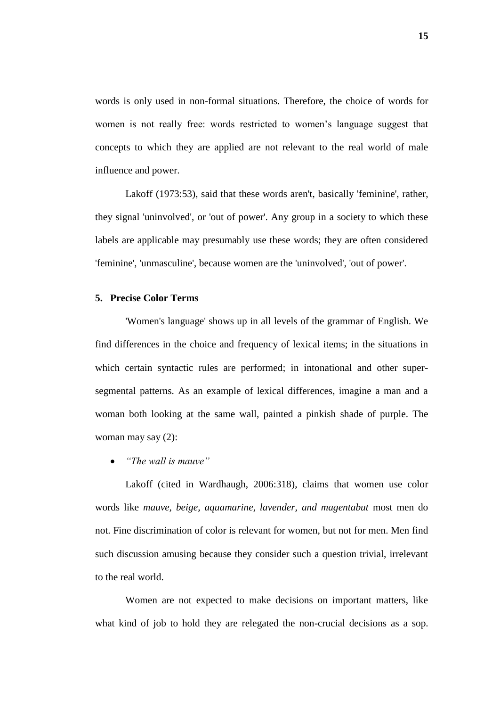words is only used in non-formal situations. Therefore, the choice of words for women is not really free: words restricted to women's language suggest that concepts to which they are applied are not relevant to the real world of male influence and power.

Lakoff (1973:53), said that these words aren't, basically 'feminine', rather, they signal 'uninvolved', or 'out of power'. Any group in a society to which these labels are applicable may presumably use these words; they are often considered 'feminine', 'unmasculine', because women are the 'uninvolved', 'out of power'.

### **5. Precise Color Terms**

'Women's language' shows up in all levels of the grammar of English. We find differences in the choice and frequency of lexical items; in the situations in which certain syntactic rules are performed; in intonational and other supersegmental patterns. As an example of lexical differences, imagine a man and a woman both looking at the same wall, painted a pinkish shade of purple. The woman may say (2):

*"The wall is mauve"*

Lakoff (cited in Wardhaugh, 2006:318), claims that women use color words like *mauve, beige, aquamarine, lavender, and magentabut* most men do not. Fine discrimination of color is relevant for women, but not for men. Men find such discussion amusing because they consider such a question trivial, irrelevant to the real world.

Women are not expected to make decisions on important matters, like what kind of job to hold they are relegated the non-crucial decisions as a sop.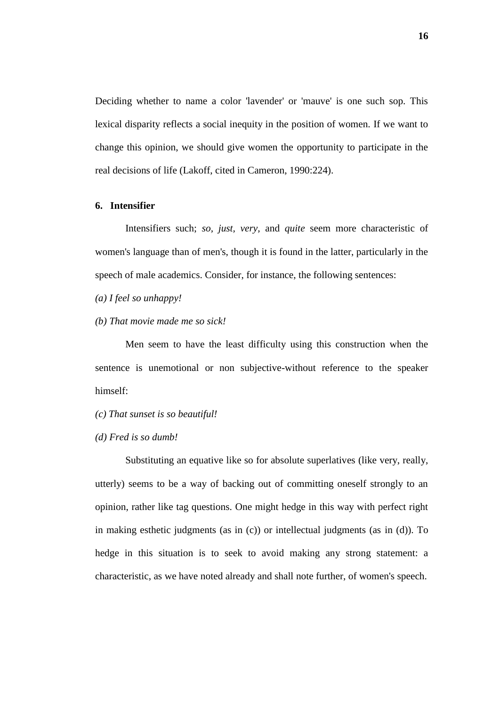Deciding whether to name a color 'lavender' or 'mauve' is one such sop. This lexical disparity reflects a social inequity in the position of women. If we want to change this opinion, we should give women the opportunity to participate in the real decisions of life (Lakoff, cited in Cameron, 1990:224).

#### **6. Intensifier**

Intensifiers such; *so, just, very,* and *quite* seem more characteristic of women's language than of men's, though it is found in the latter, particularly in the speech of male academics. Consider, for instance, the following sentences:

- *(a) I feel so unhappy!*
- *(b) That movie made me so sick!*

Men seem to have the least difficulty using this construction when the sentence is unemotional or non subjective-without reference to the speaker himself:

- *(c) That sunset is so beautiful!*
- *(d) Fred is so dumb!*

Substituting an equative like so for absolute superlatives (like very, really, utterly) seems to be a way of backing out of committing oneself strongly to an opinion, rather like tag questions. One might hedge in this way with perfect right in making esthetic judgments (as in (c)) or intellectual judgments (as in (d)). To hedge in this situation is to seek to avoid making any strong statement: a characteristic, as we have noted already and shall note further, of women's speech.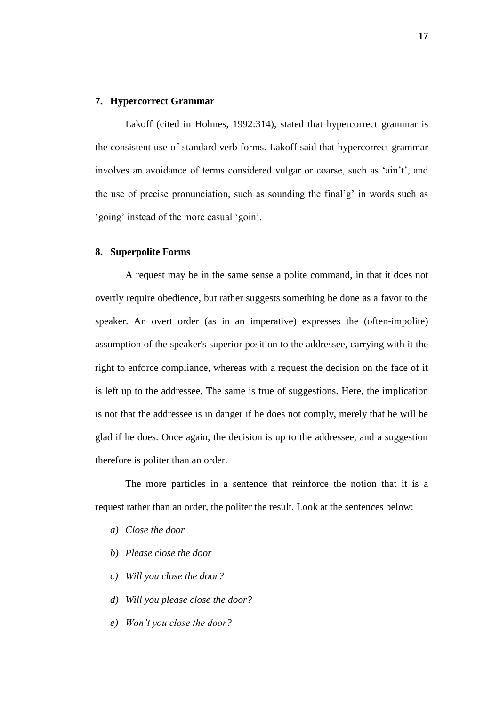#### **7. Hypercorrect Grammar**

Lakoff (cited in Holmes, 1992:314), stated that hypercorrect grammar is the consistent use of standard verb forms. Lakoff said that hypercorrect grammar involves an avoidance of terms considered vulgar or coarse, such as 'ain't', and the use of precise pronunciation, such as sounding the final'g' in words such as 'going' instead of the more casual 'goin'.

#### **8. Superpolite Forms**

A request may be in the same sense a polite command, in that it does not overtly require obedience, but rather suggests something be done as a favor to the speaker. An overt order (as in an imperative) expresses the (often-impolite) assumption of the speaker's superior position to the addressee, carrying with it the right to enforce compliance, whereas with a request the decision on the face of it is left up to the addressee. The same is true of suggestions. Here, the implication is not that the addressee is in danger if he does not comply, merely that he will be glad if he does. Once again, the decision is up to the addressee, and a suggestion therefore is politer than an order.

The more particles in a sentence that reinforce the notion that it is a request rather than an order, the politer the result. Look at the sentences below:

- *a) Close the door*
- *b) Please close the door*
- *c) Will you close the door?*
- *d) Will you please close the door?*
- *e) Won"t you close the door?*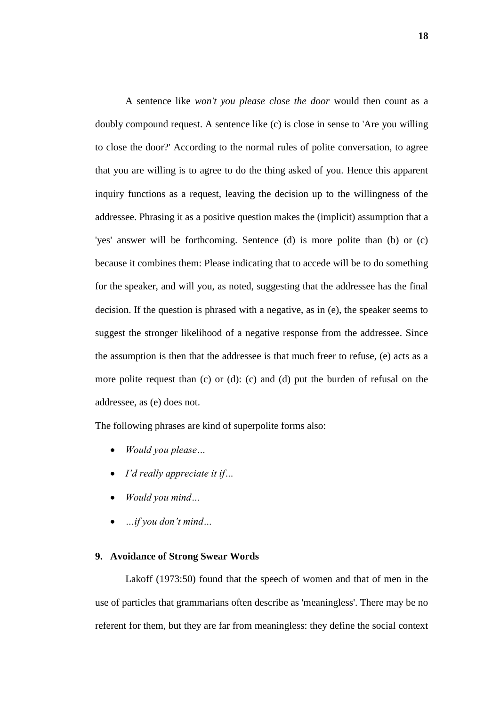A sentence like *won't you please close the door* would then count as a doubly compound request. A sentence like (c) is close in sense to 'Are you willing to close the door?' According to the normal rules of polite conversation, to agree that you are willing is to agree to do the thing asked of you. Hence this apparent inquiry functions as a request, leaving the decision up to the willingness of the addressee. Phrasing it as a positive question makes the (implicit) assumption that a 'yes' answer will be forthcoming. Sentence (d) is more polite than (b) or (c) because it combines them: Please indicating that to accede will be to do something for the speaker, and will you, as noted, suggesting that the addressee has the final decision. If the question is phrased with a negative, as in (e), the speaker seems to suggest the stronger likelihood of a negative response from the addressee. Since the assumption is then that the addressee is that much freer to refuse, (e) acts as a more polite request than (c) or (d): (c) and (d) put the burden of refusal on the addressee, as (e) does not.

The following phrases are kind of superpolite forms also:

- *Would you please…*
- *I"d really appreciate it if…*
- *Would you mind…*
- *…if you don"t mind…*

# **9. Avoidance of Strong Swear Words**

Lakoff (1973:50) found that the speech of women and that of men in the use of particles that grammarians often describe as 'meaningless'. There may be no referent for them, but they are far from meaningless: they define the social context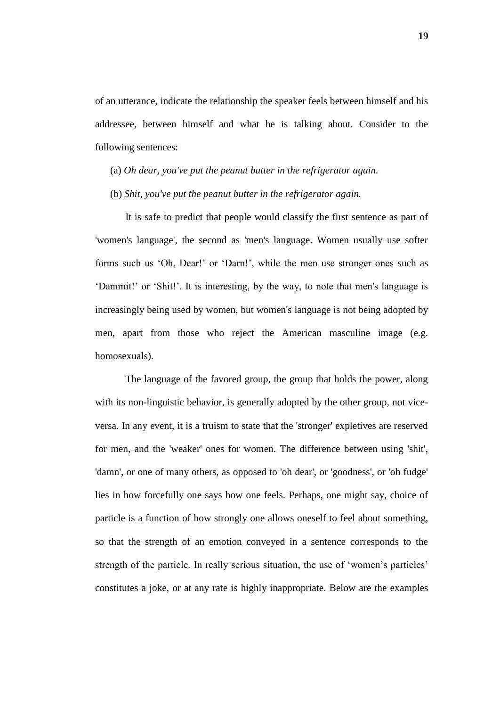of an utterance, indicate the relationship the speaker feels between himself and his addressee, between himself and what he is talking about. Consider to the following sentences:

- (a) *Oh dear, you've put the peanut butter in the refrigerator again.*
- (b) *Shit, you've put the peanut butter in the refrigerator again.*

It is safe to predict that people would classify the first sentence as part of 'women's language', the second as 'men's language. Women usually use softer forms such us 'Oh, Dear!' or 'Darn!', while the men use stronger ones such as 'Dammit!' or 'Shit!'. It is interesting, by the way, to note that men's language is increasingly being used by women, but women's language is not being adopted by men, apart from those who reject the American masculine image (e.g. homosexuals).

The language of the favored group, the group that holds the power, along with its non-linguistic behavior, is generally adopted by the other group, not viceversa. In any event, it is a truism to state that the 'stronger' expletives are reserved for men, and the 'weaker' ones for women. The difference between using 'shit', 'damn', or one of many others, as opposed to 'oh dear', or 'goodness', or 'oh fudge' lies in how forcefully one says how one feels. Perhaps, one might say, choice of particle is a function of how strongly one allows oneself to feel about something, so that the strength of an emotion conveyed in a sentence corresponds to the strength of the particle. In really serious situation, the use of 'women's particles' constitutes a joke, or at any rate is highly inappropriate. Below are the examples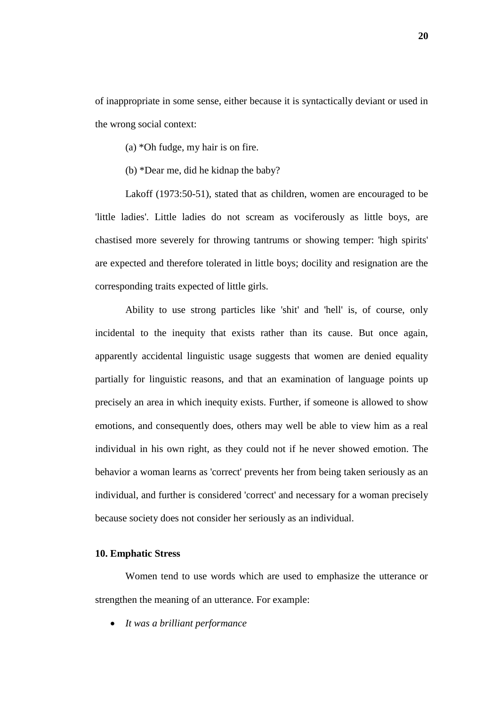of inappropriate in some sense, either because it is syntactically deviant or used in the wrong social context:

- (a) \*Oh fudge, my hair is on fire.
- (b) \*Dear me, did he kidnap the baby?

Lakoff (1973:50-51), stated that as children, women are encouraged to be 'little ladies'. Little ladies do not scream as vociferously as little boys, are chastised more severely for throwing tantrums or showing temper: 'high spirits' are expected and therefore tolerated in little boys; docility and resignation are the corresponding traits expected of little girls.

Ability to use strong particles like 'shit' and 'hell' is, of course, only incidental to the inequity that exists rather than its cause. But once again, apparently accidental linguistic usage suggests that women are denied equality partially for linguistic reasons, and that an examination of language points up precisely an area in which inequity exists. Further, if someone is allowed to show emotions, and consequently does, others may well be able to view him as a real individual in his own right, as they could not if he never showed emotion. The behavior a woman learns as 'correct' prevents her from being taken seriously as an individual, and further is considered 'correct' and necessary for a woman precisely because society does not consider her seriously as an individual.

#### **10. Emphatic Stress**

Women tend to use words which are used to emphasize the utterance or strengthen the meaning of an utterance. For example:

*It was a brilliant performance*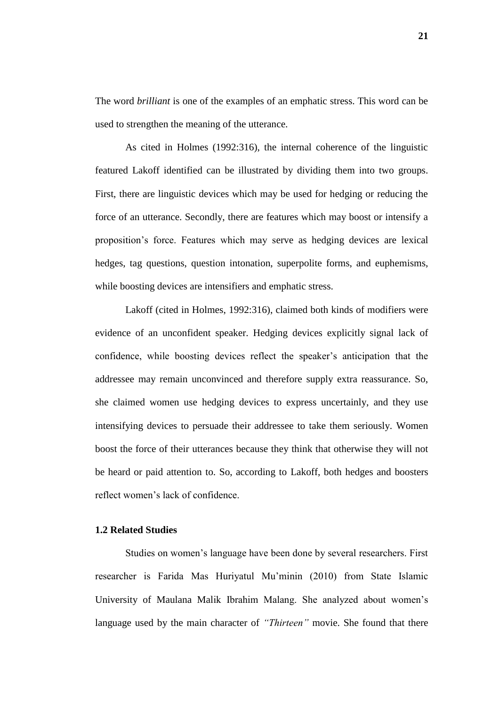The word *brilliant* is one of the examples of an emphatic stress. This word can be used to strengthen the meaning of the utterance.

As cited in Holmes (1992:316), the internal coherence of the linguistic featured Lakoff identified can be illustrated by dividing them into two groups. First, there are linguistic devices which may be used for hedging or reducing the force of an utterance. Secondly, there are features which may boost or intensify a proposition's force. Features which may serve as hedging devices are lexical hedges, tag questions, question intonation, superpolite forms, and euphemisms, while boosting devices are intensifiers and emphatic stress.

Lakoff (cited in Holmes, 1992:316), claimed both kinds of modifiers were evidence of an unconfident speaker. Hedging devices explicitly signal lack of confidence, while boosting devices reflect the speaker's anticipation that the addressee may remain unconvinced and therefore supply extra reassurance. So, she claimed women use hedging devices to express uncertainly, and they use intensifying devices to persuade their addressee to take them seriously. Women boost the force of their utterances because they think that otherwise they will not be heard or paid attention to. So, according to Lakoff, both hedges and boosters reflect women's lack of confidence.

# **1.2 Related Studies**

Studies on women's language have been done by several researchers. First researcher is Farida Mas Huriyatul Mu'minin (2010) from State Islamic University of Maulana Malik Ibrahim Malang. She analyzed about women's language used by the main character of *"Thirteen"* movie. She found that there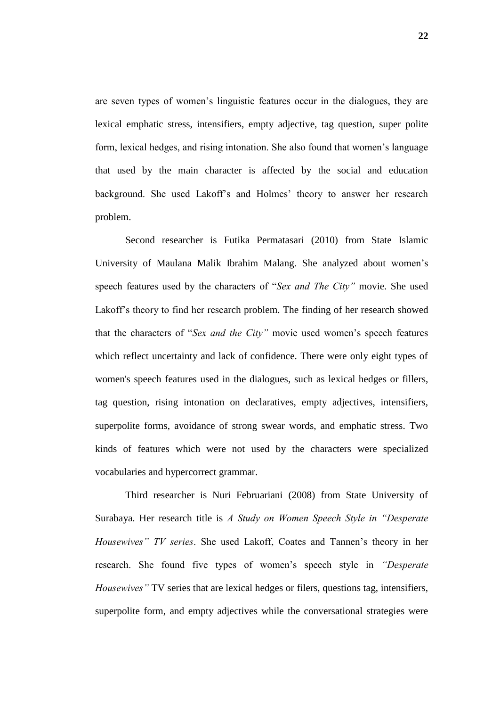are seven types of women's linguistic features occur in the dialogues, they are lexical emphatic stress, intensifiers, empty adjective, tag question, super polite form, lexical hedges, and rising intonation. She also found that women's language that used by the main character is affected by the social and education background. She used Lakoff's and Holmes' theory to answer her research problem.

Second researcher is Futika Permatasari (2010) from State Islamic University of Maulana Malik Ibrahim Malang. She analyzed about women's speech features used by the characters of "*Sex and The City"* movie. She used Lakoff's theory to find her research problem. The finding of her research showed that the characters of "*Sex and the City"* movie used women's speech features which reflect uncertainty and lack of confidence. There were only eight types of women's speech features used in the dialogues, such as lexical hedges or fillers, tag question, rising intonation on declaratives, empty adjectives, intensifiers, superpolite forms, avoidance of strong swear words, and emphatic stress. Two kinds of features which were not used by the characters were specialized vocabularies and hypercorrect grammar.

Third researcher is Nuri Februariani (2008) from State University of Surabaya. Her research title is *A Study on Women Speech Style in "Desperate Housewives" TV series*. She used Lakoff, Coates and Tannen's theory in her research. She found five types of women's speech style in *"Desperate Housewives"* TV series that are lexical hedges or filers, questions tag, intensifiers, superpolite form, and empty adjectives while the conversational strategies were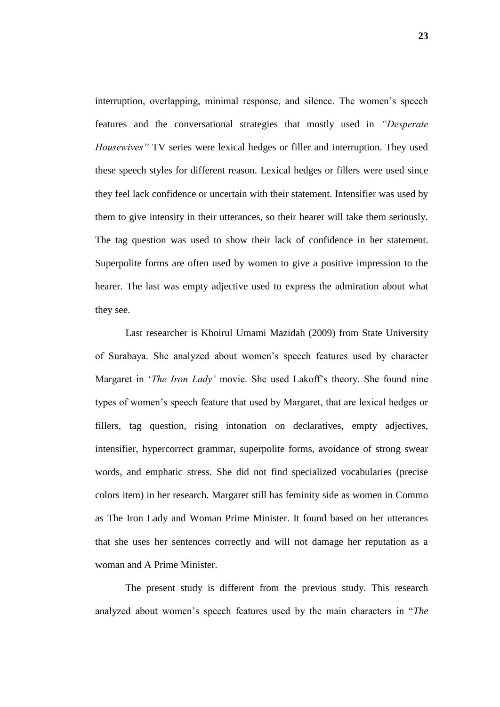interruption, overlapping, minimal response, and silence. The women's speech features and the conversational strategies that mostly used in *"Desperate Housewives"* TV series were lexical hedges or filler and interruption. They used these speech styles for different reason. Lexical hedges or fillers were used since they feel lack confidence or uncertain with their statement. Intensifier was used by them to give intensity in their utterances, so their hearer will take them seriously. The tag question was used to show their lack of confidence in her statement. Superpolite forms are often used by women to give a positive impression to the hearer. The last was empty adjective used to express the admiration about what they see.

Last researcher is Khoirul Umami Mazidah (2009) from State University of Surabaya. She analyzed about women's speech features used by character Margaret in '*The Iron Lady"* movie. She used Lakoff's theory. She found nine types of women's speech feature that used by Margaret, that are lexical hedges or fillers, tag question, rising intonation on declaratives, empty adjectives, intensifier, hypercorrect grammar, superpolite forms, avoidance of strong swear words, and emphatic stress. She did not find specialized vocabularies (precise colors item) in her research. Margaret still has feminity side as women in Commo as The Iron Lady and Woman Prime Minister. It found based on her utterances that she uses her sentences correctly and will not damage her reputation as a woman and A Prime Minister.

The present study is different from the previous study. This research analyzed about women's speech features used by the main characters in "*The*